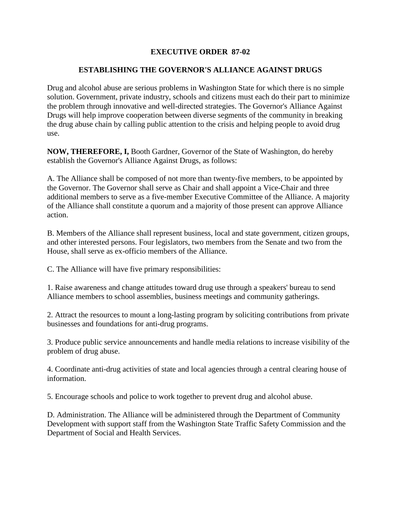## **EXECUTIVE ORDER 87-02**

## **ESTABLISHING THE GOVERNOR'S ALLIANCE AGAINST DRUGS**

Drug and alcohol abuse are serious problems in Washington State for which there is no simple solution. Government, private industry, schools and citizens must each do their part to minimize the problem through innovative and well-directed strategies. The Governor's Alliance Against Drugs will help improve cooperation between diverse segments of the community in breaking the drug abuse chain by calling public attention to the crisis and helping people to avoid drug use.

**NOW, THEREFORE, I,** Booth Gardner, Governor of the State of Washington, do hereby establish the Governor's Alliance Against Drugs, as follows:

A. The Alliance shall be composed of not more than twenty-five members, to be appointed by the Governor. The Governor shall serve as Chair and shall appoint a Vice-Chair and three additional members to serve as a five-member Executive Committee of the Alliance. A majority of the Alliance shall constitute a quorum and a majority of those present can approve Alliance action.

B. Members of the Alliance shall represent business, local and state government, citizen groups, and other interested persons. Four legislators, two members from the Senate and two from the House, shall serve as ex-officio members of the Alliance.

C. The Alliance will have five primary responsibilities:

1. Raise awareness and change attitudes toward drug use through a speakers' bureau to send Alliance members to school assemblies, business meetings and community gatherings.

2. Attract the resources to mount a long-lasting program by soliciting contributions from private businesses and foundations for anti-drug programs.

3. Produce public service announcements and handle media relations to increase visibility of the problem of drug abuse.

4. Coordinate anti-drug activities of state and local agencies through a central clearing house of information.

5. Encourage schools and police to work together to prevent drug and alcohol abuse.

D. Administration. The Alliance will be administered through the Department of Community Development with support staff from the Washington State Traffic Safety Commission and the Department of Social and Health Services.